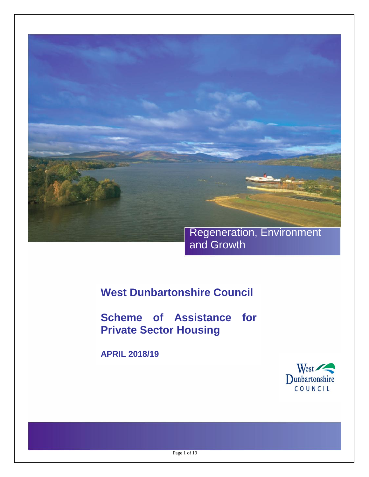

**West Dunbartonshire Council**

**Scheme of Assistance for Private Sector Housing** 

**APRIL 2018/19**



Page 1 of 19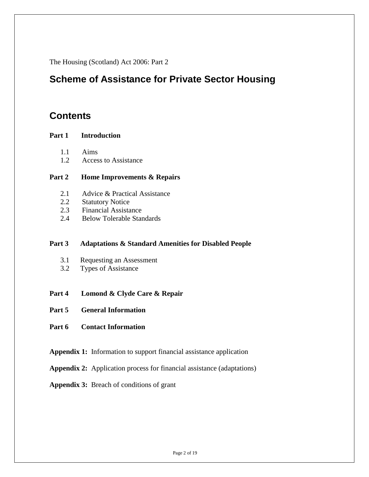The Housing (Scotland) Act 2006: Part 2

## **Scheme of Assistance for Private Sector Housing**

## **Contents**

#### **Part 1 Introduction**

- 1.1 Aims
- 1.2 Access to Assistance

#### **Part 2 Home Improvements & Repairs**

- 2.1Advice & Practical Assistance
- 2.2 Statutory Notice
- 2.3 Financial Assistance
- 2.4 Below Tolerable Standards

#### **Part 3 Adaptations & Standard Amenities for Disabled People**

- 3.1 Requesting an Assessment
- 3.2 Types of Assistance
- **Part 4 Lomond & Clyde Care & Repair**
- **Part 5 General Information**
- **Part 6 Contact Information**
- **Appendix 1:** Information to support financial assistance application
- **Appendix 2:** Application process for financial assistance (adaptations)
- **Appendix 3:** Breach of conditions of grant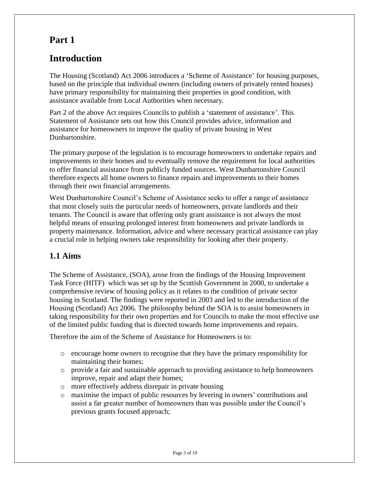# **Part 1**

# **Introduction**

The Housing (Scotland) Act 2006 introduces a 'Scheme of Assistance' for housing purposes, based on the principle that individual owners (including owners of privately rented houses) have primary responsibility for maintaining their properties in good condition, with assistance available from Local Authorities when necessary.

Part 2 of the above Act requires Councils to publish a 'statement of assistance'. This Statement of Assistance sets out how this Council provides advice, information and assistance for homeowners to improve the quality of private housing in West Dunbartonshire.

The primary purpose of the legislation is to encourage homeowners to undertake repairs and improvements to their homes and to eventually remove the requirement for local authorities to offer financial assistance from publicly funded sources. West Dunbartonshire Council therefore expects all home owners to finance repairs and improvements to their homes through their own financial arrangements.

West Dunbartonshire Council's Scheme of Assistance seeks to offer a range of assistance that most closely suits the particular needs of homeowners, private landlords and their tenants. The Council is aware that offering only grant assistance is not always the most helpful means of ensuring prolonged interest from homeowners and private landlords in property maintenance. Information, advice and where necessary practical assistance can play a crucial role in helping owners take responsibility for looking after their property.

## **1.1 Aims**

The Scheme of Assistance, (SOA), arose from the findings of the Housing Improvement Task Force (HITF) which was set up by the Scottish Government in 2000, to undertake a comprehensive review of housing policy as it relates to the condition of private sector housing in Scotland. The findings were reported in 2003 and led to the introduction of the Housing (Scotland) Act 2006. The philosophy behind the SOA is to assist homeowners in taking responsibility for their own properties and for Councils to make the most effective use of the limited public funding that is directed towards home improvements and repairs.

Therefore the aim of the Scheme of Assistance for Homeowners is to:

- o encourage home owners to recognise that they have the primary responsibility for maintaining their homes;
- o provide a fair and sustainable approach to providing assistance to help homeowners improve, repair and adapt their homes;
- o more effectively address disrepair in private housing
- o maximise the impact of public resources by levering in owners' contributions and assist a far greater number of homeowners than was possible under the Council's previous grants focused approach;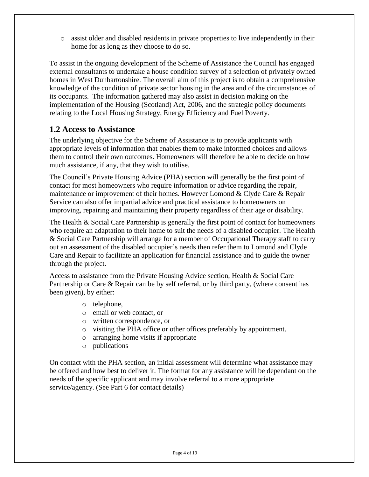o assist older and disabled residents in private properties to live independently in their home for as long as they choose to do so.

To assist in the ongoing development of the Scheme of Assistance the Council has engaged external consultants to undertake a house condition survey of a selection of privately owned homes in West Dunbartonshire. The overall aim of this project is to obtain a comprehensive knowledge of the condition of private sector housing in the area and of the circumstances of its occupants. The information gathered may also assist in decision making on the implementation of the Housing (Scotland) Act, 2006, and the strategic policy documents relating to the Local Housing Strategy, Energy Efficiency and Fuel Poverty.

### **1.2 Access to Assistance**

The underlying objective for the Scheme of Assistance is to provide applicants with appropriate levels of information that enables them to make informed choices and allows them to control their own outcomes. Homeowners will therefore be able to decide on how much assistance, if any, that they wish to utilise.

The Council's Private Housing Advice (PHA) section will generally be the first point of contact for most homeowners who require information or advice regarding the repair, maintenance or improvement of their homes. However Lomond & Clyde Care & Repair Service can also offer impartial advice and practical assistance to homeowners on improving, repairing and maintaining their property regardless of their age or disability.

The Health & Social Care Partnership is generally the first point of contact for homeowners who require an adaptation to their home to suit the needs of a disabled occupier. The Health & Social Care Partnership will arrange for a member of Occupational Therapy staff to carry out an assessment of the disabled occupier's needs then refer them to Lomond and Clyde Care and Repair to facilitate an application for financial assistance and to guide the owner through the project.

Access to assistance from the Private Housing Advice section, Health & Social Care Partnership or Care & Repair can be by self referral, or by third party, (where consent has been given), by either:

- o telephone,
- o email or web contact, or
- o written correspondence, or
- o visiting the PHA office or other offices preferably by appointment.
- o arranging home visits if appropriate
- o publications

On contact with the PHA section, an initial assessment will determine what assistance may be offered and how best to deliver it. The format for any assistance will be dependant on the needs of the specific applicant and may involve referral to a more appropriate service/agency. (See Part 6 for contact details)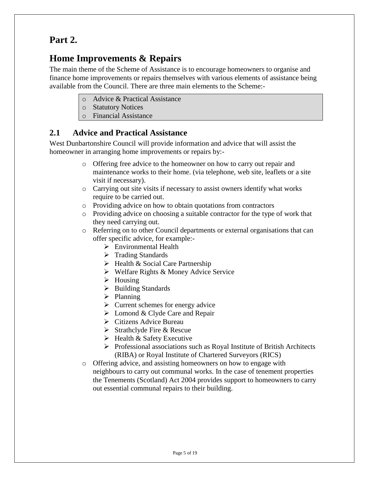## **Part 2.**

# **Home Improvements & Repairs**

The main theme of the Scheme of Assistance is to encourage homeowners to organise and finance home improvements or repairs themselves with various elements of assistance being available from the Council. There are three main elements to the Scheme:-

- o Advice & Practical Assistance
- o Statutory Notices
- o Financial Assistance

### **2.1 Advice and Practical Assistance**

West Dunbartonshire Council will provide information and advice that will assist the homeowner in arranging home improvements or repairs by:-

- o Offering free advice to the homeowner on how to carry out repair and maintenance works to their home. (via telephone, web site, leaflets or a site visit if necessary).
- o Carrying out site visits if necessary to assist owners identify what works require to be carried out.
- o Providing advice on how to obtain quotations from contractors
- o Providing advice on choosing a suitable contractor for the type of work that they need carrying out.
- o Referring on to other Council departments or external organisations that can offer specific advice, for example:-
	- Environmental Health
	- $\triangleright$  Trading Standards
	- $\triangleright$  Health & Social Care Partnership
	- Welfare Rights & Money Advice Service
	- $\triangleright$  Housing
	- $\triangleright$  Building Standards
	- $\triangleright$  Planning
	- $\triangleright$  Current schemes for energy advice
	- $\triangleright$  Lomond & Clyde Care and Repair
	- Citizens Advice Bureau
	- $\triangleright$  Strathclyde Fire & Rescue
	- $\triangleright$  Health & Safety Executive
	- $\triangleright$  Professional associations such as Royal Institute of British Architects (RIBA) or Royal Institute of Chartered Surveyors (RICS)
- o Offering advice, and assisting homeowners on how to engage with neighbours to carry out communal works. In the case of tenement properties the Tenements (Scotland) Act 2004 provides support to homeowners to carry out essential communal repairs to their building.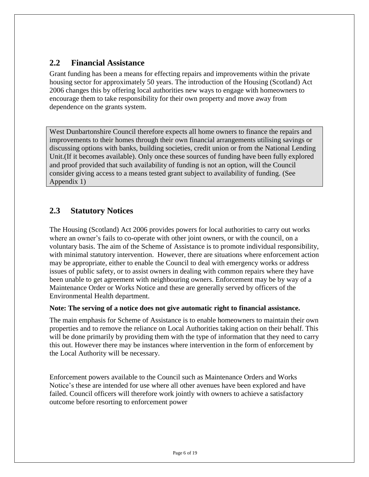### **2.2 Financial Assistance**

Grant funding has been a means for effecting repairs and improvements within the private housing sector for approximately 50 years. The introduction of the Housing (Scotland) Act 2006 changes this by offering local authorities new ways to engage with homeowners to encourage them to take responsibility for their own property and move away from dependence on the grants system.

West Dunbartonshire Council therefore expects all home owners to finance the repairs and improvements to their homes through their own financial arrangements utilising savings or discussing options with banks, building societies, credit union or from the National Lending Unit.(If it becomes available). Only once these sources of funding have been fully explored and proof provided that such availability of funding is not an option, will the Council consider giving access to a means tested grant subject to availability of funding. (See Appendix 1)

## **2.3 Statutory Notices**

The Housing (Scotland) Act 2006 provides powers for local authorities to carry out works where an owner's fails to co-operate with other joint owners, or with the council, on a voluntary basis. The aim of the Scheme of Assistance is to promote individual responsibility, with minimal statutory intervention. However, there are situations where enforcement action may be appropriate, either to enable the Council to deal with emergency works or address issues of public safety, or to assist owners in dealing with common repairs where they have been unable to get agreement with neighbouring owners. Enforcement may be by way of a Maintenance Order or Works Notice and these are generally served by officers of the Environmental Health department.

#### **Note: The serving of a notice does not give automatic right to financial assistance.**

The main emphasis for Scheme of Assistance is to enable homeowners to maintain their own properties and to remove the reliance on Local Authorities taking action on their behalf. This will be done primarily by providing them with the type of information that they need to carry this out. However there may be instances where intervention in the form of enforcement by the Local Authority will be necessary.

Enforcement powers available to the Council such as Maintenance Orders and Works Notice's these are intended for use where all other avenues have been explored and have failed. Council officers will therefore work jointly with owners to achieve a satisfactory outcome before resorting to enforcement power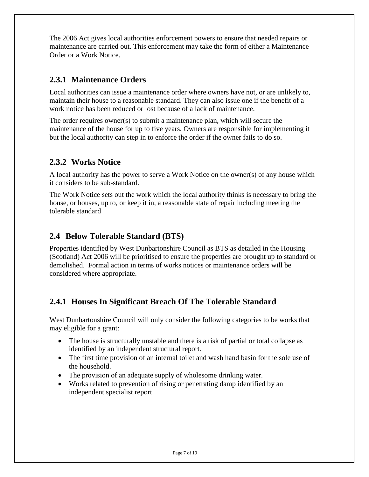The 2006 Act gives local authorities enforcement powers to ensure that needed repairs or maintenance are carried out. This enforcement may take the form of either a Maintenance Order or a Work Notice.

### **2.3.1 Maintenance Orders**

Local authorities can issue a maintenance order where owners have not, or are unlikely to, maintain their house to a reasonable standard. They can also issue one if the benefit of a work notice has been reduced or lost because of a lack of maintenance.

The order requires owner(s) to submit a maintenance plan, which will secure the maintenance of the house for up to five years. Owners are responsible for implementing it but the local authority can step in to enforce the order if the owner fails to do so.

### **2.3.2 Works Notice**

A local authority has the power to serve a Work Notice on the owner(s) of any house which it considers to be sub-standard.

The Work Notice sets out the work which the local authority thinks is necessary to bring the house, or houses, up to, or keep it in, a reasonable state of repair including meeting the tolerable standard

## **2.4 Below Tolerable Standard (BTS)**

Properties identified by West Dunbartonshire Council as BTS as detailed in the Housing (Scotland) Act 2006 will be prioritised to ensure the properties are brought up to standard or demolished. Formal action in terms of works notices or maintenance orders will be considered where appropriate.

## **2.4.1 Houses In Significant Breach Of The Tolerable Standard**

West Dunbartonshire Council will only consider the following categories to be works that may eligible for a grant:

- The house is structurally unstable and there is a risk of partial or total collapse as identified by an independent structural report.
- The first time provision of an internal toilet and wash hand basin for the sole use of the household.
- The provision of an adequate supply of wholesome drinking water.
- Works related to prevention of rising or penetrating damp identified by an independent specialist report.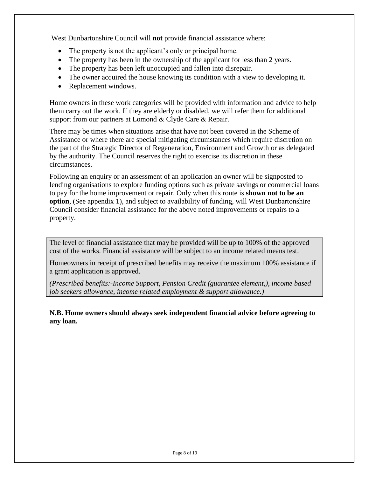West Dunbartonshire Council will **not** provide financial assistance where:

- The property is not the applicant's only or principal home.
- The property has been in the ownership of the applicant for less than 2 years.
- The property has been left unoccupied and fallen into disrepair.
- The owner acquired the house knowing its condition with a view to developing it.
- Replacement windows.

Home owners in these work categories will be provided with information and advice to help them carry out the work. If they are elderly or disabled, we will refer them for additional support from our partners at Lomond & Clyde Care & Repair.

There may be times when situations arise that have not been covered in the Scheme of Assistance or where there are special mitigating circumstances which require discretion on the part of the Strategic Director of Regeneration, Environment and Growth or as delegated by the authority. The Council reserves the right to exercise its discretion in these circumstances.

Following an enquiry or an assessment of an application an owner will be signposted to lending organisations to explore funding options such as private savings or commercial loans to pay for the home improvement or repair. Only when this route is **shown not to be an option**, (See appendix 1), and subject to availability of funding, will West Dunbartonshire Council consider financial assistance for the above noted improvements or repairs to a property.

The level of financial assistance that may be provided will be up to 100% of the approved cost of the works. Financial assistance will be subject to an income related means test.

Homeowners in receipt of prescribed benefits may receive the maximum 100% assistance if a grant application is approved.

*(Prescribed benefits:-Income Support, Pension Credit (guarantee element,), income based job seekers allowance, income related employment & support allowance.)*

**N.B. Home owners should always seek independent financial advice before agreeing to any loan.**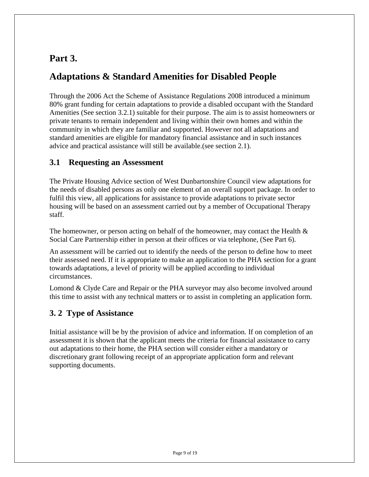# **Part 3.**

# **Adaptations & Standard Amenities for Disabled People**

Through the 2006 Act the Scheme of Assistance Regulations 2008 introduced a minimum 80% grant funding for certain adaptations to provide a disabled occupant with the Standard Amenities (See section 3.2.1) suitable for their purpose. The aim is to assist homeowners or private tenants to remain independent and living within their own homes and within the community in which they are familiar and supported. However not all adaptations and standard amenities are eligible for mandatory financial assistance and in such instances advice and practical assistance will still be available.(see section 2.1).

### **3.1 Requesting an Assessment**

The Private Housing Advice section of West Dunbartonshire Council view adaptations for the needs of disabled persons as only one element of an overall support package. In order to fulfil this view, all applications for assistance to provide adaptations to private sector housing will be based on an assessment carried out by a member of Occupational Therapy staff.

The homeowner, or person acting on behalf of the homeowner, may contact the Health  $\&$ Social Care Partnership either in person at their offices or via telephone, (See Part 6).

An assessment will be carried out to identify the needs of the person to define how to meet their assessed need. If it is appropriate to make an application to the PHA section for a grant towards adaptations, a level of priority will be applied according to individual circumstances.

Lomond & Clyde Care and Repair or the PHA surveyor may also become involved around this time to assist with any technical matters or to assist in completing an application form.

## **3. 2 Type of Assistance**

Initial assistance will be by the provision of advice and information. If on completion of an assessment it is shown that the applicant meets the criteria for financial assistance to carry out adaptations to their home, the PHA section will consider either a mandatory or discretionary grant following receipt of an appropriate application form and relevant supporting documents.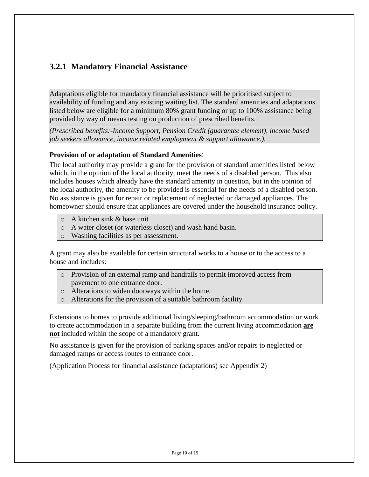### **3.2.1 Mandatory Financial Assistance**

Adaptations eligible for mandatory financial assistance will be prioritised subject to availability of funding and any existing waiting list. The standard amenities and adaptations listed below are eligible for a minimum 80% grant funding or up to 100% assistance being provided by way of means testing on production of prescribed benefits.

*(Prescribed benefits:-Income Support, Pension Credit (guarantee element), income based job seekers allowance, income related employment & support allowance.).*

#### **Provision of or adaptation of Standard Amenities**:

The local authority may provide a grant for the provision of standard amenities listed below which, in the opinion of the local authority, meet the needs of a disabled person. This also includes houses which already have the standard amenity in question, but in the opinion of the local authority, the amenity to be provided is essential for the needs of a disabled person. No assistance is given for repair or replacement of neglected or damaged appliances. The homeowner should ensure that appliances are covered under the household insurance policy.

- o A kitchen sink & base unit
- o A water closet (or waterless closet) and wash hand basin.
- o Washing facilities as per assessment.

A grant may also be available for certain structural works to a house or to the access to a house and includes:

- o Provision of an external ramp and handrails to permit improved access from pavement to one entrance door.
- o Alterations to widen doorways within the home.
- o Alterations for the provision of a suitable bathroom facility

Extensions to homes to provide additional living/sleeping/bathroom accommodation or work to create accommodation in a separate building from the current living accommodation **are not** included within the scope of a mandatory grant.

No assistance is given for the provision of parking spaces and/or repairs to neglected or damaged ramps or access routes to entrance door.

(Application Process for financial assistance (adaptations) see Appendix 2)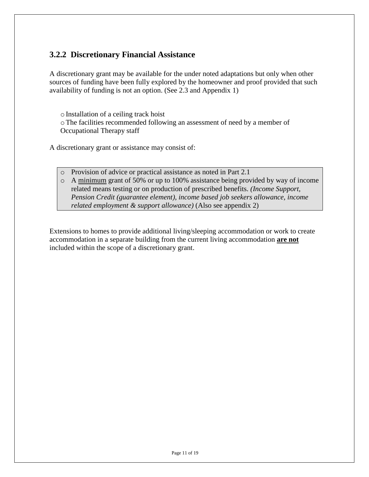## **3.2.2 Discretionary Financial Assistance**

A discretionary grant may be available for the under noted adaptations but only when other sources of funding have been fully explored by the homeowner and proof provided that such availability of funding is not an option. (See 2.3 and Appendix 1)

oInstallation of a ceiling track hoist oThe facilities recommended following an assessment of need by a member of Occupational Therapy staff

A discretionary grant or assistance may consist of:

- o Provision of advice or practical assistance as noted in Part 2.1
- o A minimum grant of 50% or up to 100% assistance being provided by way of income related means testing or on production of prescribed benefits. *(Income Support, Pension Credit (guarantee element), income based job seekers allowance, income related employment & support allowance)* (Also see appendix 2)

Extensions to homes to provide additional living/sleeping accommodation or work to create accommodation in a separate building from the current living accommodation **are not** included within the scope of a discretionary grant.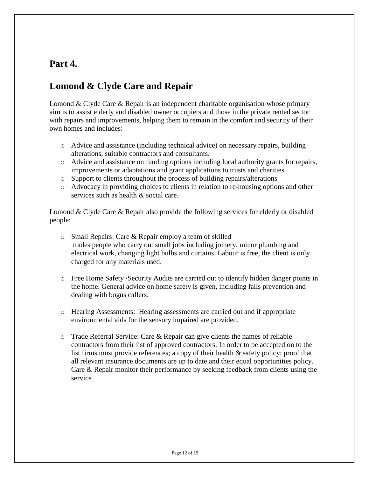# **Part 4.**

# **Lomond & Clyde Care and Repair**

Lomond & Clyde Care & Repair is an independent charitable organisation whose primary aim is to assist elderly and disabled owner occupiers and those in the private rented sector with repairs and improvements, helping them to remain in the comfort and security of their own homes and includes:

- o Advice and assistance (including technical advice) on necessary repairs, building alterations, suitable contractors and consultants.
- o Advice and assistance on funding options including local authority grants for repairs, improvements or adaptations and grant applications to trusts and charities.
- o Support to clients throughout the process of building repairs/alterations
- o Advocacy in providing choices to clients in relation to re-housing options and other services such as health & social care.

Lomond & Clyde Care & Repair also provide the following services for elderly or disabled people:

- o Small Repairs: Care & Repair employ a team of skilled trades people who carry out small jobs including joinery, minor plumbing and electrical work, changing light bulbs and curtains. Labour is free, the client is only charged for any materials used.
- o Free Home Safety /Security Audits are carried out to identify hidden danger points in the home. General advice on home safety is given, including falls prevention and dealing with bogus callers.
- o Hearing Assessments: Hearing assessments are carried out and if appropriate environmental aids for the sensory impaired are provided.
- $\circ$  Trade Referral Service: Care & Repair can give clients the names of reliable contractors from their list of approved contractors. In order to be accepted on to the list firms must provide references; a copy of their health & safety policy; proof that all relevant insurance documents are up to date and their equal opportunities policy. Care & Repair monitor their performance by seeking feedback from clients using the service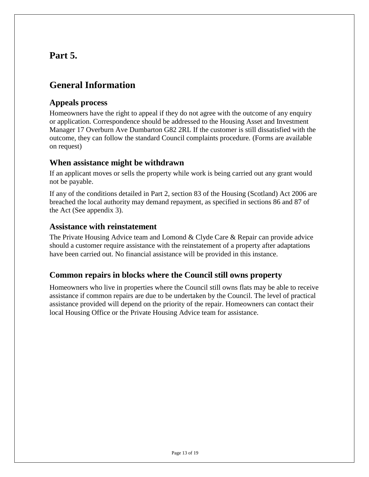# **Part 5.**

# **General Information**

### **Appeals process**

Homeowners have the right to appeal if they do not agree with the outcome of any enquiry or application. Correspondence should be addressed to the Housing Asset and Investment Manager 17 Overburn Ave Dumbarton G82 2RL If the customer is still dissatisfied with the outcome, they can follow the standard Council complaints procedure. (Forms are available on request)

### **When assistance might be withdrawn**

If an applicant moves or sells the property while work is being carried out any grant would not be payable.

If any of the conditions detailed in Part 2, section 83 of the Housing (Scotland) Act 2006 are breached the local authority may demand repayment, as specified in sections 86 and 87 of the Act (See appendix 3).

### **Assistance with reinstatement**

The Private Housing Advice team and Lomond & Clyde Care & Repair can provide advice should a customer require assistance with the reinstatement of a property after adaptations have been carried out. No financial assistance will be provided in this instance.

### **Common repairs in blocks where the Council still owns property**

Homeowners who live in properties where the Council still owns flats may be able to receive assistance if common repairs are due to be undertaken by the Council. The level of practical assistance provided will depend on the priority of the repair. Homeowners can contact their local Housing Office or the Private Housing Advice team for assistance.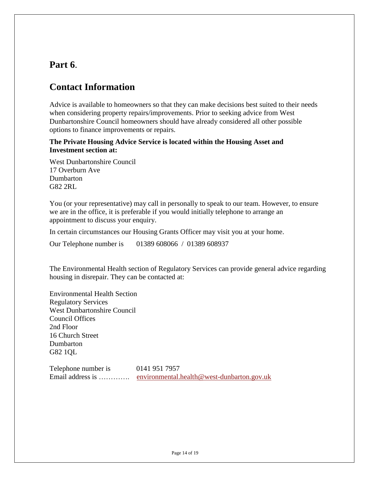## **Part 6**.

## **Contact Information**

Advice is available to homeowners so that they can make decisions best suited to their needs when considering property repairs/improvements. Prior to seeking advice from West Dunbartonshire Council homeowners should have already considered all other possible options to finance improvements or repairs.

### **The Private Housing Advice Service is located within the Housing Asset and Investment section at:**

West Dunbartonshire Council 17 Overburn Ave Dumbarton G82 2RL

You (or your representative) may call in personally to speak to our team. However, to ensure we are in the office, it is preferable if you would initially telephone to arrange an appointment to discuss your enquiry.

In certain circumstances our Housing Grants Officer may visit you at your home.

Our Telephone number is 01389 608066 / 01389 608937

The Environmental Health section of Regulatory Services can provide general advice regarding housing in disrepair. They can be contacted at:

Environmental Health Section Regulatory Services West Dunbartonshire Council Council Offices 2nd Floor 16 Church Street **Dumbarton** G82 1QL

Telephone number is 0141 951 7957 Email address is ............. [environmental.health@west-dunbarton.gov.uk](mailto:environmental.health@west-dunbarton.gov.uk)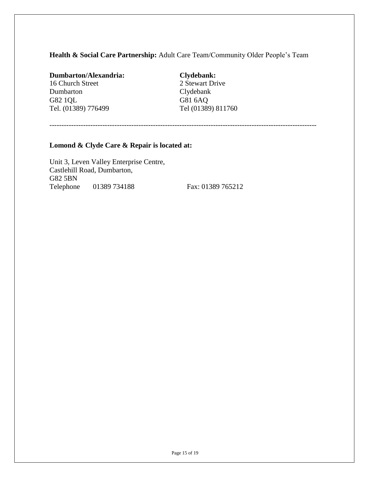### **Health & Social Care Partnership:** Adult Care Team/Community Older People's Team

#### **Dumbarton/Alexandria: Clydebank:** 16 Church Street 2 Stewart Drive

Dumbarton Clydebank<br>
G82 1QL<br>
G81 6AQ G82 1QL Tel. (01389) 776499 Tel (01389) 811760

---------------------------------------------------------------------------------------------------------------

#### **Lomond & Clyde Care & Repair is located at:**

Unit 3, Leven Valley Enterprise Centre, Castlehill Road, Dumbarton, G82 5BN Telephone 01389 734188 Fax: 01389 765212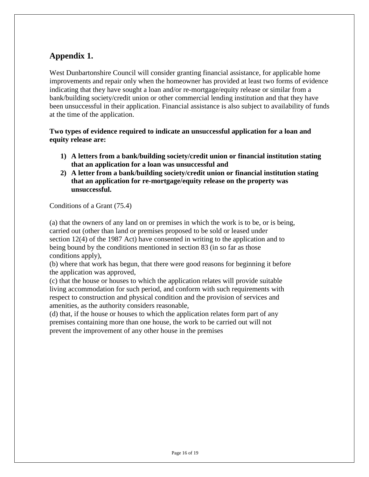## **Appendix 1.**

West Dunbartonshire Council will consider granting financial assistance, for applicable home improvements and repair only when the homeowner has provided at least two forms of evidence indicating that they have sought a loan and/or re-mortgage/equity release or similar from a bank/building society/credit union or other commercial lending institution and that they have been unsuccessful in their application. Financial assistance is also subject to availability of funds at the time of the application.

### **Two types of evidence required to indicate an unsuccessful application for a loan and equity release are:**

- **1) A letters from a bank/building society/credit union or financial institution stating that an application for a loan was unsuccessful and**
- **2) A letter from a bank/building society/credit union or financial institution stating that an application for re-mortgage/equity release on the property was unsuccessful.**

Conditions of a Grant (75.4)

(a) that the owners of any land on or premises in which the work is to be, or is being, carried out (other than land or premises proposed to be sold or leased under section 12(4) of the 1987 Act) have consented in writing to the application and to being bound by the conditions mentioned in section 83 (in so far as those conditions apply),

(b) where that work has begun, that there were good reasons for beginning it before the application was approved,

(c) that the house or houses to which the application relates will provide suitable living accommodation for such period, and conform with such requirements with respect to construction and physical condition and the provision of services and amenities, as the authority considers reasonable,

(d) that, if the house or houses to which the application relates form part of any premises containing more than one house, the work to be carried out will not prevent the improvement of any other house in the premises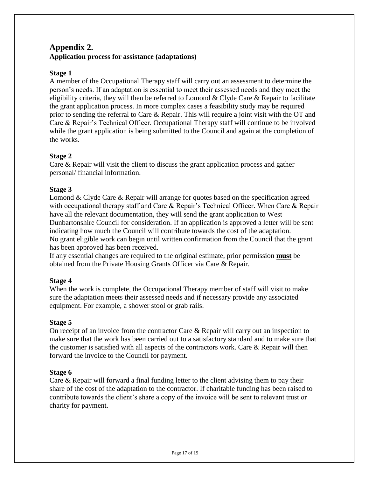### **Appendix 2. Application process for assistance (adaptations)**

### **Stage 1**

A member of the Occupational Therapy staff will carry out an assessment to determine the person's needs. If an adaptation is essential to meet their assessed needs and they meet the eligibility criteria, they will then be referred to Lomond & Clyde Care & Repair to facilitate the grant application process. In more complex cases a feasibility study may be required prior to sending the referral to Care & Repair. This will require a joint visit with the OT and Care & Repair's Technical Officer. Occupational Therapy staff will continue to be involved while the grant application is being submitted to the Council and again at the completion of the works.

#### **Stage 2**

Care & Repair will visit the client to discuss the grant application process and gather personal/ financial information.

#### **Stage 3**

Lomond & Clyde Care & Repair will arrange for quotes based on the specification agreed with occupational therapy staff and Care & Repair's Technical Officer. When Care & Repair have all the relevant documentation, they will send the grant application to West Dunbartonshire Council for consideration. If an application is approved a letter will be sent indicating how much the Council will contribute towards the cost of the adaptation. No grant eligible work can begin until written confirmation from the Council that the grant has been approved has been received.

If any essential changes are required to the original estimate, prior permission **must** be obtained from the Private Housing Grants Officer via Care & Repair.

### **Stage 4**

When the work is complete, the Occupational Therapy member of staff will visit to make sure the adaptation meets their assessed needs and if necessary provide any associated equipment. For example, a shower stool or grab rails.

### **Stage 5**

On receipt of an invoice from the contractor Care  $\&$  Repair will carry out an inspection to make sure that the work has been carried out to a satisfactory standard and to make sure that the customer is satisfied with all aspects of the contractors work. Care & Repair will then forward the invoice to the Council for payment.

#### **Stage 6**

Care & Repair will forward a final funding letter to the client advising them to pay their share of the cost of the adaptation to the contractor. If charitable funding has been raised to contribute towards the client's share a copy of the invoice will be sent to relevant trust or charity for payment.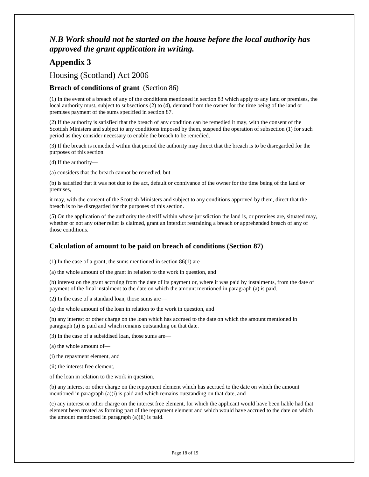## *N.B Work should not be started on the house before the local authority has approved the grant application in writing.*

## **Appendix 3**

### Housing (Scotland) Act 2006

#### **Breach of conditions of grant** (Section 86)

(1) In the event of a breach of any of the conditions mentioned in section 83 which apply to any land or premises, the local authority must, subject to subsections (2) to (4), demand from the owner for the time being of the land or premises payment of the sums specified in section 87.

(2) If the authority is satisfied that the breach of any condition can be remedied it may, with the consent of the Scottish Ministers and subject to any conditions imposed by them, suspend the operation of subsection (1) for such period as they consider necessary to enable the breach to be remedied.

(3) If the breach is remedied within that period the authority may direct that the breach is to be disregarded for the purposes of this section.

(4) If the authority—

(a) considers that the breach cannot be remedied, but

(b) is satisfied that it was not due to the act, default or connivance of the owner for the time being of the land or premises,

it may, with the consent of the Scottish Ministers and subject to any conditions approved by them, direct that the breach is to be disregarded for the purposes of this section.

(5) On the application of the authority the sheriff within whose jurisdiction the land is, or premises are, situated may, whether or not any other relief is claimed, grant an interdict restraining a breach or apprehended breach of any of those conditions.

#### **Calculation of amount to be paid on breach of conditions (Section 87)**

(1) In the case of a grant, the sums mentioned in section 86(1) are—

(a) the whole amount of the grant in relation to the work in question, and

(b) interest on the grant accruing from the date of its payment or, where it was paid by instalments, from the date of payment of the final instalment to the date on which the amount mentioned in paragraph (a) is paid.

(2) In the case of a standard loan, those sums are—

(a) the whole amount of the loan in relation to the work in question, and

(b) any interest or other charge on the loan which has accrued to the date on which the amount mentioned in paragraph (a) is paid and which remains outstanding on that date.

(3) In the case of a subsidised loan, those sums are—

(a) the whole amount of—

(i) the repayment element, and

(ii) the interest free element,

of the loan in relation to the work in question,

(b) any interest or other charge on the repayment element which has accrued to the date on which the amount mentioned in paragraph (a)(i) is paid and which remains outstanding on that date, and

(c) any interest or other charge on the interest free element, for which the applicant would have been liable had that element been treated as forming part of the repayment element and which would have accrued to the date on which the amount mentioned in paragraph (a)(ii) is paid.